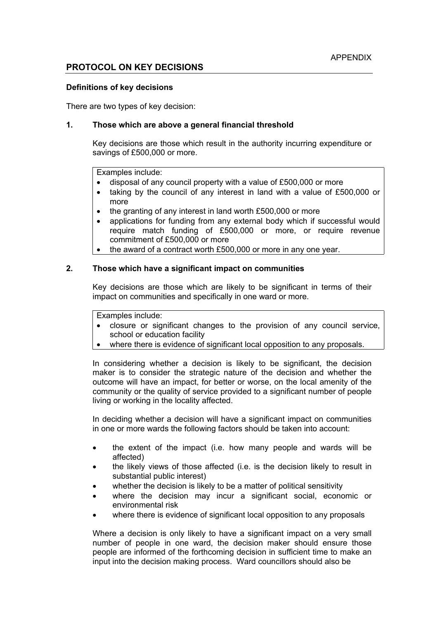# **PROTOCOL ON KEY DECISIONS**

#### **Definitions of key decisions**

There are two types of key decision:

### **1. Those which are above a general financial threshold**

Key decisions are those which result in the authority incurring expenditure or savings of £500,000 or more.

Examples include:

- disposal of any council property with a value of £500,000 or more
- taking by the council of any interest in land with a value of £500,000 or more
- the granting of any interest in land worth £500,000 or more
- applications for funding from any external body which if successful would require match funding of £500,000 or more, or require revenue commitment of £500,000 or more
- the award of a contract worth £500,000 or more in any one year.

#### **2. Those which have a significant impact on communities**

Key decisions are those which are likely to be significant in terms of their impact on communities and specifically in one ward or more.

Examples include:

- closure or significant changes to the provision of any council service, school or education facility
- where there is evidence of significant local opposition to any proposals.

In considering whether a decision is likely to be significant, the decision maker is to consider the strategic nature of the decision and whether the outcome will have an impact, for better or worse, on the local amenity of the community or the quality of service provided to a significant number of people living or working in the locality affected.

In deciding whether a decision will have a significant impact on communities in one or more wards the following factors should be taken into account:

- the extent of the impact (i.e. how many people and wards will be affected)
- the likely views of those affected (i.e. is the decision likely to result in substantial public interest)
- whether the decision is likely to be a matter of political sensitivity
- where the decision may incur a significant social, economic or environmental risk
- where there is evidence of significant local opposition to any proposals

Where a decision is only likely to have a significant impact on a very small number of people in one ward, the decision maker should ensure those people are informed of the forthcoming decision in sufficient time to make an input into the decision making process. Ward councillors should also be